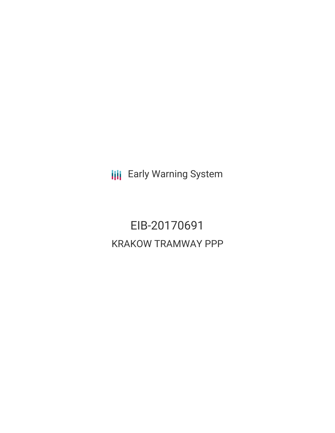**III** Early Warning System

EIB-20170691 KRAKOW TRAMWAY PPP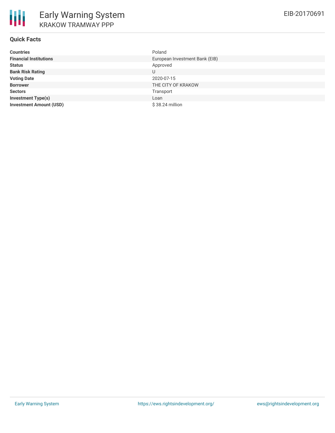# **Quick Facts**

| <b>Countries</b>               | Poland                         |
|--------------------------------|--------------------------------|
| <b>Financial Institutions</b>  | European Investment Bank (EIB) |
| <b>Status</b>                  | Approved                       |
| <b>Bank Risk Rating</b>        | U                              |
| <b>Voting Date</b>             | 2020-07-15                     |
| <b>Borrower</b>                | THE CITY OF KRAKOW             |
| <b>Sectors</b>                 | Transport                      |
| <b>Investment Type(s)</b>      | Loan                           |
| <b>Investment Amount (USD)</b> | $$38.24$ million               |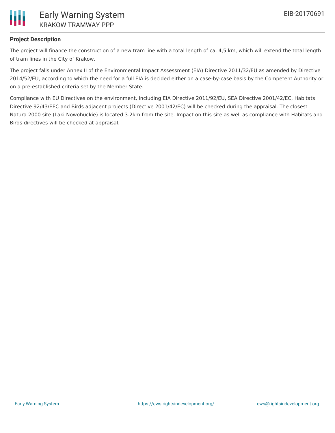

# **Project Description**

The project will finance the construction of a new tram line with a total length of ca. 4,5 km, which will extend the total length of tram lines in the City of Krakow.

The project falls under Annex II of the Environmental Impact Assessment (EIA) Directive 2011/32/EU as amended by Directive 2014/52/EU, according to which the need for a full EIA is decided either on a case-by-case basis by the Competent Authority or on a pre-established criteria set by the Member State.

Compliance with EU Directives on the environment, including EIA Directive 2011/92/EU, SEA Directive 2001/42/EC, Habitats Directive 92/43/EEC and Birds adjacent projects (Directive 2001/42/EC) will be checked during the appraisal. The closest Natura 2000 site (Laki Nowohuckie) is located 3.2km from the site. Impact on this site as well as compliance with Habitats and Birds directives will be checked at appraisal.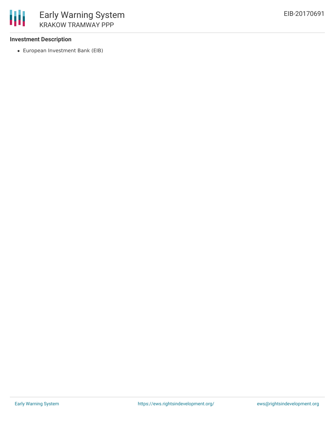## **Investment Description**

European Investment Bank (EIB)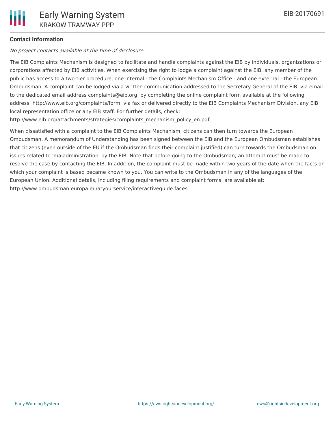## **Contact Information**

No project contacts available at the time of disclosure.

The EIB Complaints Mechanism is designed to facilitate and handle complaints against the EIB by individuals, organizations or corporations affected by EIB activities. When exercising the right to lodge a complaint against the EIB, any member of the public has access to a two-tier procedure, one internal - the Complaints Mechanism Office - and one external - the European Ombudsman. A complaint can be lodged via a written communication addressed to the Secretary General of the EIB, via email to the dedicated email address complaints@eib.org, by completing the online complaint form available at the following address: http://www.eib.org/complaints/form, via fax or delivered directly to the EIB Complaints Mechanism Division, any EIB local representation office or any EIB staff. For further details, check:

http://www.eib.org/attachments/strategies/complaints\_mechanism\_policy\_en.pdf

When dissatisfied with a complaint to the EIB Complaints Mechanism, citizens can then turn towards the European Ombudsman. A memorandum of Understanding has been signed between the EIB and the European Ombudsman establishes that citizens (even outside of the EU if the Ombudsman finds their complaint justified) can turn towards the Ombudsman on issues related to 'maladministration' by the EIB. Note that before going to the Ombudsman, an attempt must be made to resolve the case by contacting the EIB. In addition, the complaint must be made within two years of the date when the facts on which your complaint is based became known to you. You can write to the Ombudsman in any of the languages of the European Union. Additional details, including filing requirements and complaint forms, are available at: http://www.ombudsman.europa.eu/atyourservice/interactiveguide.faces